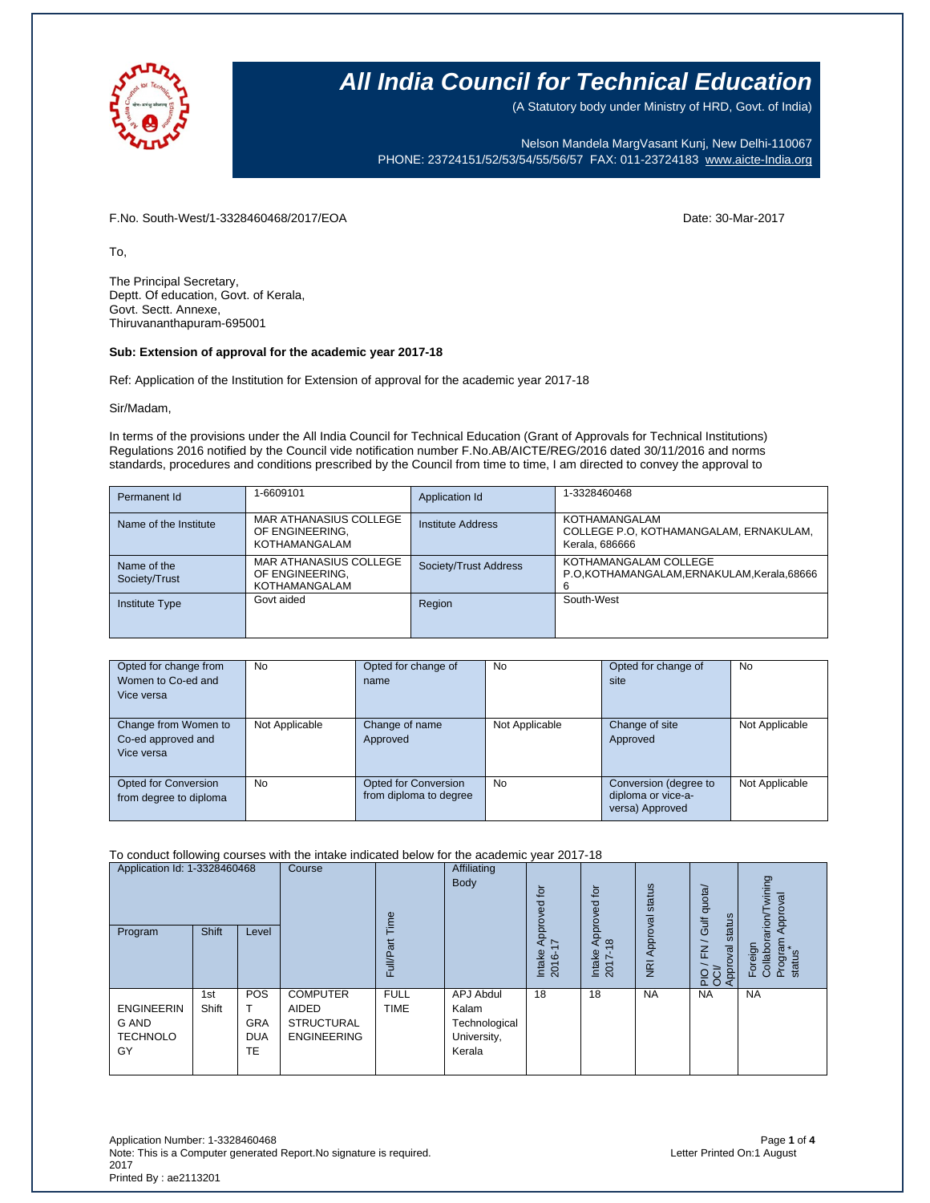

(A Statutory body under Ministry of HRD, Govt. of India)

Nelson Mandela MargVasant Kunj, New Delhi-110067 PHONE: 23724151/52/53/54/55/56/57 FAX: 011-23724183 [www.aicte-India.org](http://www.aicte-india.org/)

F.No. South-West/1-3328460468/2017/EOA Date: 30-Mar-2017

To,

The Principal Secretary, Deptt. Of education, Govt. of Kerala, Govt. Sectt. Annexe, Thiruvananthapuram-695001

### **Sub: Extension of approval for the academic year 2017-18**

Ref: Application of the Institution for Extension of approval for the academic year 2017-18

Sir/Madam,

In terms of the provisions under the All India Council for Technical Education (Grant of Approvals for Technical Institutions) Regulations 2016 notified by the Council vide notification number F.No.AB/AICTE/REG/2016 dated 30/11/2016 and norms standards, procedures and conditions prescribed by the Council from time to time, I am directed to convey the approval to

| Permanent Id                 | 1-6609101                                                  | Application Id        | 1-3328460468                                                              |
|------------------------------|------------------------------------------------------------|-----------------------|---------------------------------------------------------------------------|
| Name of the Institute        | MAR ATHANASIUS COLLEGE<br>OF ENGINEERING.<br>KOTHAMANGALAM | Institute Address     | KOTHAMANGALAM<br>COLLEGE P.O. KOTHAMANGALAM, ERNAKULAM,<br>Kerala, 686666 |
| Name of the<br>Society/Trust | MAR ATHANASIUS COLLEGE<br>OF ENGINEERING.<br>KOTHAMANGALAM | Society/Trust Address | KOTHAMANGALAM COLLEGE<br>P.O.KOTHAMANGALAM, ERNAKULAM, Kerala, 68666<br>6 |
| <b>Institute Type</b>        | Govt aided                                                 | Region                | South-West                                                                |

| Opted for change from<br>Women to Co-ed and<br>Vice versa | No             | Opted for change of<br>name                           | <b>No</b>      | Opted for change of<br>site                                    | <b>No</b>      |
|-----------------------------------------------------------|----------------|-------------------------------------------------------|----------------|----------------------------------------------------------------|----------------|
| Change from Women to<br>Co-ed approved and<br>Vice versa  | Not Applicable | Change of name<br>Approved                            | Not Applicable | Change of site<br>Approved                                     | Not Applicable |
| Opted for Conversion<br>from degree to diploma            | No             | <b>Opted for Conversion</b><br>from diploma to degree | <b>No</b>      | Conversion (degree to<br>diploma or vice-a-<br>versa) Approved | Not Applicable |

#### To conduct following courses with the intake indicated below for the academic year 2017-18

| Application Id: 1-3328460468<br>Program             | Shift        | Level                                 | Course                                                              | ime<br>Full/Pai            | Affiliating<br>Body                                          | $\overline{a}$<br>요<br>g<br>윤<br>$\sim$<br>Intake<br>2016-1 | tor<br>ਹ<br>(I)<br>ົ<br>ਨ<br>$\infty$<br>3<br>$\overline{ }$<br>Intal<br>201 | status<br>Approval<br>$\overline{R}$ | quota/<br>status<br>Gulf<br>$\overline{E}$<br>PIO / FN<br>OCI/<br>Approval | wining<br>pproval<br>$r$ arion/<br>Program<br>status<br>Foreign<br>Collabor |
|-----------------------------------------------------|--------------|---------------------------------------|---------------------------------------------------------------------|----------------------------|--------------------------------------------------------------|-------------------------------------------------------------|------------------------------------------------------------------------------|--------------------------------------|----------------------------------------------------------------------------|-----------------------------------------------------------------------------|
| <b>ENGINEERIN</b><br>G AND<br><b>TECHNOLO</b><br>GY | 1st<br>Shift | POS<br><b>GRA</b><br><b>DUA</b><br>TE | <b>COMPUTER</b><br>AIDED<br><b>STRUCTURAL</b><br><b>ENGINEERING</b> | <b>FULL</b><br><b>TIME</b> | APJ Abdul<br>Kalam<br>Technological<br>University,<br>Kerala | 18                                                          | 18                                                                           | <b>NA</b>                            | <b>NA</b>                                                                  | <b>NA</b>                                                                   |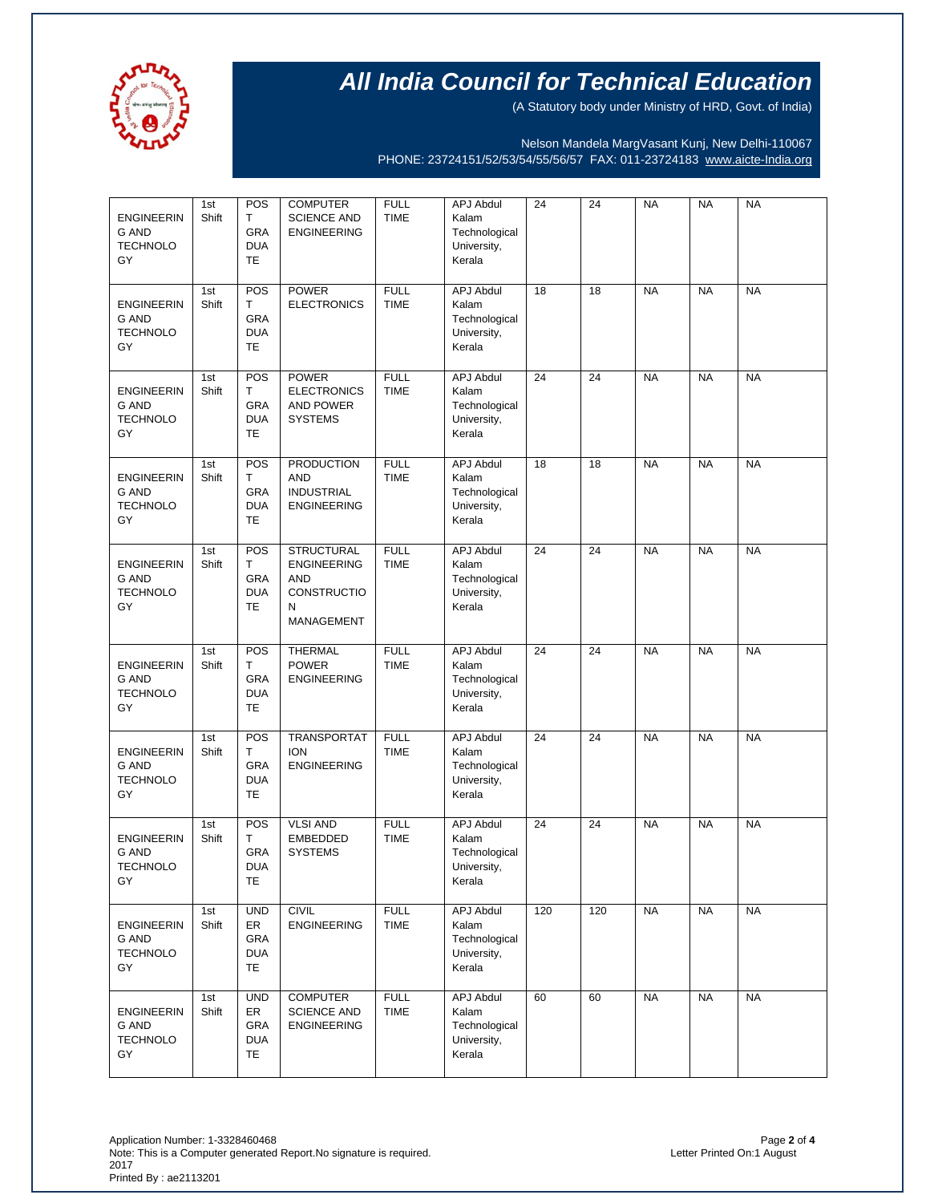

(A Statutory body under Ministry of HRD, Govt. of India)

Nelson Mandela MargVasant Kunj, New Delhi-110067 PHONE: 23724151/52/53/54/55/56/57 FAX: 011-23724183 [www.aicte-India.org](http://www.aicte-india.org/)

| <b>ENGINEERIN</b><br><b>G AND</b><br><b>TECHNOLO</b><br>GY | 1st<br>Shift | POS<br>T<br><b>GRA</b><br><b>DUA</b><br><b>TE</b>   | <b>COMPUTER</b><br><b>SCIENCE AND</b><br><b>ENGINEERING</b>                      | <b>FULL</b><br><b>TIME</b> | <b>APJ Abdul</b><br>Kalam<br>Technological<br>University,<br>Kerala | 24  | 24  | <b>NA</b> | <b>NA</b> | <b>NA</b> |
|------------------------------------------------------------|--------------|-----------------------------------------------------|----------------------------------------------------------------------------------|----------------------------|---------------------------------------------------------------------|-----|-----|-----------|-----------|-----------|
| <b>ENGINEERIN</b><br>G AND<br><b>TECHNOLO</b><br>GY        | 1st<br>Shift | POS<br>T<br>GRA<br><b>DUA</b><br>TE                 | <b>POWER</b><br><b>ELECTRONICS</b>                                               | <b>FULL</b><br><b>TIME</b> | <b>APJ Abdul</b><br>Kalam<br>Technological<br>University,<br>Kerala | 18  | 18  | <b>NA</b> | <b>NA</b> | <b>NA</b> |
| <b>ENGINEERIN</b><br>G AND<br><b>TECHNOLO</b><br>GY        | 1st<br>Shift | POS<br>Т<br><b>GRA</b><br><b>DUA</b><br>TE          | <b>POWER</b><br><b>ELECTRONICS</b><br>AND POWER<br><b>SYSTEMS</b>                | <b>FULL</b><br><b>TIME</b> | <b>APJ Abdul</b><br>Kalam<br>Technological<br>University,<br>Kerala | 24  | 24  | <b>NA</b> | <b>NA</b> | <b>NA</b> |
| <b>ENGINEERIN</b><br><b>G AND</b><br><b>TECHNOLO</b><br>GY | 1st<br>Shift | POS<br>T<br>GRA<br><b>DUA</b><br>TE                 | <b>PRODUCTION</b><br><b>AND</b><br><b>INDUSTRIAL</b><br><b>ENGINEERING</b>       | <b>FULL</b><br><b>TIME</b> | <b>APJ Abdul</b><br>Kalam<br>Technological<br>University,<br>Kerala | 18  | 18  | <b>NA</b> | <b>NA</b> | <b>NA</b> |
| <b>ENGINEERIN</b><br><b>G AND</b><br><b>TECHNOLO</b><br>GY | 1st<br>Shift | POS<br>T<br><b>GRA</b><br><b>DUA</b><br><b>TE</b>   | <b>STRUCTURAL</b><br><b>ENGINEERING</b><br>AND<br>CONSTRUCTIO<br>N<br>MANAGEMENT | <b>FULL</b><br><b>TIME</b> | <b>APJ Abdul</b><br>Kalam<br>Technological<br>University,<br>Kerala | 24  | 24  | <b>NA</b> | <b>NA</b> | <b>NA</b> |
| <b>ENGINEERIN</b><br><b>G AND</b><br><b>TECHNOLO</b><br>GY | 1st<br>Shift | POS<br>Т<br>GRA<br><b>DUA</b><br>TE                 | <b>THERMAL</b><br><b>POWER</b><br><b>ENGINEERING</b>                             | <b>FULL</b><br><b>TIME</b> | <b>APJ Abdul</b><br>Kalam<br>Technological<br>University,<br>Kerala | 24  | 24  | <b>NA</b> | <b>NA</b> | <b>NA</b> |
| <b>ENGINEERIN</b><br><b>G AND</b><br><b>TECHNOLO</b><br>GY | 1st<br>Shift | POS<br>Т<br>GRA<br><b>DUA</b><br>TE                 | <b>TRANSPORTAT</b><br><b>ION</b><br><b>ENGINEERING</b>                           | <b>FULL</b><br><b>TIME</b> | <b>APJ Abdul</b><br>Kalam<br>Technological<br>University,<br>Kerala | 24  | 24  | <b>NA</b> | <b>NA</b> | <b>NA</b> |
| <b>ENGINEERIN</b><br><b>G AND</b><br><b>TECHNOLO</b><br>GY | 1st<br>Shift | POS<br>Т<br>GRA<br><b>DUA</b><br>TE                 | <b>VLSI AND</b><br><b>EMBEDDED</b><br><b>SYSTEMS</b>                             | <b>FULL</b><br><b>TIME</b> | <b>APJ Abdul</b><br>Kalam<br>Technological<br>University,<br>Kerala | 24  | 24  | <b>NA</b> | <b>NA</b> | <b>NA</b> |
| <b>ENGINEERIN</b><br>G AND<br><b>TECHNOLO</b><br>GY        | 1st<br>Shift | <b>UND</b><br>ER<br>GRA<br><b>DUA</b><br><b>TE</b>  | <b>CIVIL</b><br><b>ENGINEERING</b>                                               | <b>FULL</b><br><b>TIME</b> | APJ Abdul<br>Kalam<br>Technological<br>University,<br>Kerala        | 120 | 120 | <b>NA</b> | <b>NA</b> | <b>NA</b> |
| <b>ENGINEERIN</b><br>G AND<br><b>TECHNOLO</b><br>GY        | 1st<br>Shift | <b>UND</b><br>ER<br><b>GRA</b><br><b>DUA</b><br>TE. | <b>COMPUTER</b><br><b>SCIENCE AND</b><br><b>ENGINEERING</b>                      | <b>FULL</b><br><b>TIME</b> | <b>APJ Abdul</b><br>Kalam<br>Technological<br>University,<br>Kerala | 60  | 60  | <b>NA</b> | <b>NA</b> | <b>NA</b> |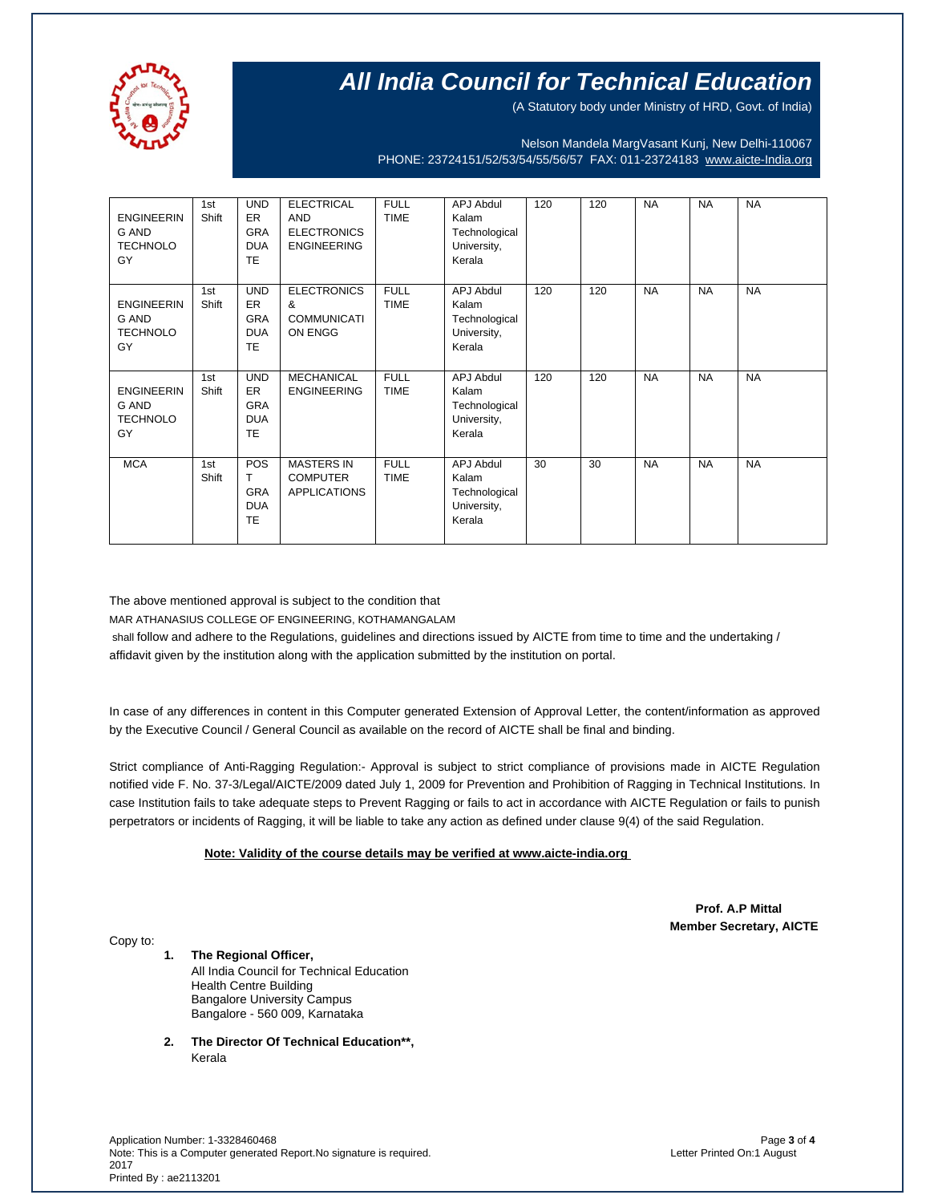

(A Statutory body under Ministry of HRD, Govt. of India)

Nelson Mandela MargVasant Kunj, New Delhi-110067 PHONE: 23724151/52/53/54/55/56/57 FAX: 011-23724183 [www.aicte-India.org](http://www.aicte-india.org/)

| <b>ENGINEERIN</b><br>G AND<br><b>TECHNOLO</b><br>GY | 1st<br>Shift | <b>UND</b><br>ER.<br><b>GRA</b><br><b>DUA</b><br><b>TE</b>       | <b>ELECTRICAL</b><br><b>AND</b><br><b>ELECTRONICS</b><br><b>ENGINEERING</b> | <b>FULL</b><br><b>TIME</b> | <b>APJ Abdul</b><br>Kalam<br>Technological<br>University,<br>Kerala | 120 | 120 | <b>NA</b> | <b>NA</b> | <b>NA</b> |
|-----------------------------------------------------|--------------|------------------------------------------------------------------|-----------------------------------------------------------------------------|----------------------------|---------------------------------------------------------------------|-----|-----|-----------|-----------|-----------|
| <b>ENGINEERIN</b><br>G AND<br><b>TECHNOLO</b><br>GY | 1st<br>Shift | <b>UND</b><br><b>ER</b><br><b>GRA</b><br><b>DUA</b><br><b>TE</b> | <b>ELECTRONICS</b><br>&<br><b>COMMUNICATI</b><br>ON ENGG                    | <b>FULL</b><br><b>TIME</b> | APJ Abdul<br>Kalam<br>Technological<br>University,<br>Kerala        | 120 | 120 | <b>NA</b> | <b>NA</b> | <b>NA</b> |
| <b>ENGINEERIN</b><br>G AND<br><b>TECHNOLO</b><br>GY | 1st<br>Shift | <b>UND</b><br><b>ER</b><br><b>GRA</b><br><b>DUA</b><br><b>TE</b> | <b>MECHANICAL</b><br><b>ENGINEERING</b>                                     | <b>FULL</b><br><b>TIME</b> | APJ Abdul<br>Kalam<br>Technological<br>University,<br>Kerala        | 120 | 120 | <b>NA</b> | <b>NA</b> | <b>NA</b> |
| <b>MCA</b>                                          | 1st<br>Shift | POS<br>т<br><b>GRA</b><br><b>DUA</b><br><b>TE</b>                | <b>MASTERS IN</b><br><b>COMPUTER</b><br><b>APPLICATIONS</b>                 | <b>FULL</b><br><b>TIME</b> | <b>APJ Abdul</b><br>Kalam<br>Technological<br>University,<br>Kerala | 30  | 30  | <b>NA</b> | <b>NA</b> | <b>NA</b> |

The above mentioned approval is subject to the condition that

MAR ATHANASIUS COLLEGE OF ENGINEERING, KOTHAMANGALAM

shall follow and adhere to the Regulations, guidelines and directions issued by AICTE from time to time and the undertaking / affidavit given by the institution along with the application submitted by the institution on portal.

In case of any differences in content in this Computer generated Extension of Approval Letter, the content/information as approved by the Executive Council / General Council as available on the record of AICTE shall be final and binding.

Strict compliance of Anti-Ragging Regulation:- Approval is subject to strict compliance of provisions made in AICTE Regulation notified vide F. No. 37-3/Legal/AICTE/2009 dated July 1, 2009 for Prevention and Prohibition of Ragging in Technical Institutions. In case Institution fails to take adequate steps to Prevent Ragging or fails to act in accordance with AICTE Regulation or fails to punish perpetrators or incidents of Ragging, it will be liable to take any action as defined under clause 9(4) of the said Regulation.

### **Note: Validity of the course details may be verified at www.aicte-india.org**

 **Prof. A.P Mittal Member Secretary, AICTE**

Copy to:

**1. The Regional Officer,** All India Council for Technical Education Health Centre Building Bangalore University Campus Bangalore - 560 009, Karnataka

**2. The Director Of Technical Education\*\*,** Kerala